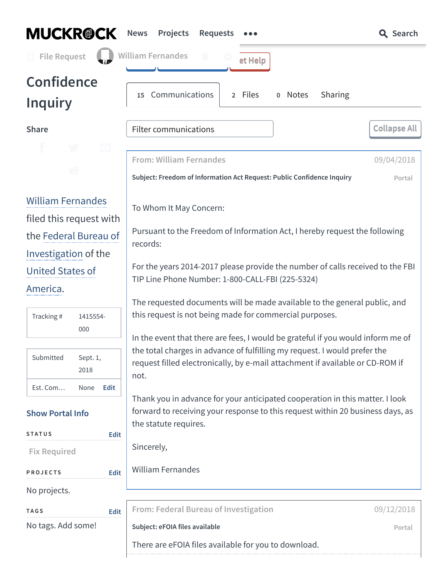<span id="page-0-2"></span><span id="page-0-1"></span><span id="page-0-0"></span>

| <b>MUCKR@CK</b>                                            | <b>News</b><br>Projects<br><b>Requests</b>                                                                                                                                                                              | <b>Q</b> Search      |  |
|------------------------------------------------------------|-------------------------------------------------------------------------------------------------------------------------------------------------------------------------------------------------------------------------|----------------------|--|
| <b>File Request</b>                                        | <b>William Fernandes</b><br>et Help                                                                                                                                                                                     |                      |  |
| <b>Confidence</b><br><b>Inquiry</b>                        | Communications<br>2 Files<br>o Notes<br>Sharing<br>15 <sub>1</sub>                                                                                                                                                      |                      |  |
| <b>Share</b>                                               | <b>Filter communications</b>                                                                                                                                                                                            | <b>Collapse All</b>  |  |
| $\boxtimes$<br>T                                           | <b>From: William Fernandes</b><br>Subject: Freedom of Information Act Request: Public Confidence Inquiry                                                                                                                | 09/04/2018<br>Portal |  |
| <b>William Fernandes</b><br>filed this request with        | To Whom It May Concern:<br>Pursuant to the Freedom of Information Act, I hereby request the following                                                                                                                   |                      |  |
| the Federal Bureau of<br>Investigation of the              | records:                                                                                                                                                                                                                |                      |  |
| <b>United States of</b>                                    | For the years 2014-2017 please provide the number of calls received to the FBI<br>TIP Line Phone Number: 1-800-CALL-FBI (225-5324)                                                                                      |                      |  |
| America.<br>Tracking#<br>1415554-<br>000                   | The requested documents will be made available to the general public, and<br>this request is not being made for commercial purposes.<br>In the event that there are fees, I would be grateful if you would inform me of |                      |  |
| Submitted<br>Sept. 1,<br>2018                              | the total charges in advance of fulfilling my request. I would prefer the<br>request filled electronically, by e-mail attachment if available or CD-ROM if<br>not.                                                      |                      |  |
| <b>Edit</b><br>Est. Com<br>None<br><b>Show Portal Info</b> | Thank you in advance for your anticipated cooperation in this matter. I look<br>forward to receiving your response to this request within 20 business days, as<br>the statute requires.                                 |                      |  |
| <b>STATUS</b><br><b>Edit</b><br><b>Fix Required</b>        | Sincerely,                                                                                                                                                                                                              |                      |  |
| <b>PROJECTS</b><br>Edit                                    | <b>William Fernandes</b>                                                                                                                                                                                                |                      |  |
| No projects.                                               |                                                                                                                                                                                                                         |                      |  |
| <b>TAGS</b><br>Edit                                        | From: Federal Bureau of Investigation                                                                                                                                                                                   | 09/12/2018           |  |
| No tags. Add some!                                         | Subject: eFOIA files available                                                                                                                                                                                          | Portal               |  |
|                                                            | There are eFOIA files available for you to download.                                                                                                                                                                    |                      |  |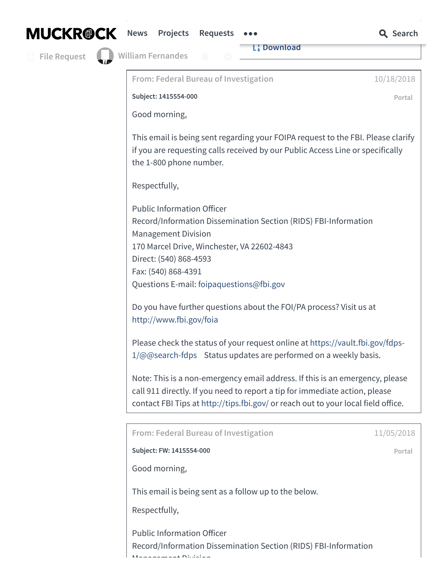|  | <b>MUCKR@CK</b> |
|--|-----------------|
|--|-----------------|

|  | News Projects Requests |  | <b>Q</b> Search |
|--|------------------------|--|-----------------|
|  |                        |  |                 |

erients Requests and Canadian Control Control Control Control Control Control Control Control Control Control Control Control Control Control Control Control Control Control Control Control Control Control Control Control

**L:** [Download](https://cdn.muckrock.com/foia_files/2018/09/12/E75246195a196cb7220b391a962a4e077b418d647_Q41016_D2118653.pdf)

**File [Request](https://www.muckrock.com/foi/create/)**

<span id="page-1-1"></span><span id="page-1-0"></span>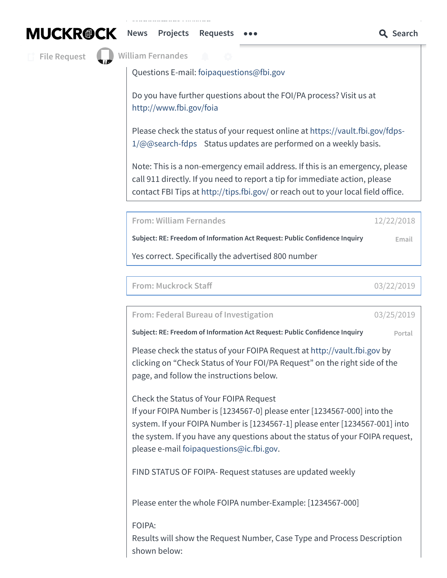**File [Request](https://www.muckrock.com/foi/create/)**

**William [Fernandes](https://www.muckrock.com/accounts/profile/)** 

Management Division

Questions E-mail: [foipaquestions@fbi.gov](mailto:foipaquestions@fbi.gov)

Do you have further questions about the FOI/PA process? Visit us at <http://www.fbi.gov/foia>

Please check the status of your request online at [https://vault.fbi.gov/fdps-](https://vault.fbi.gov/fdps-1/@@search-fdps)1/@@search-fdps Status updates are performed on a weekly basis.

Note: This is a non-emergency email address. If this is an emergency, please call 911 directly. If you need to report a tip for immediate action, please contact FBI Tips at <http://tips.fbi.gov/> or reach out to your local field office.

<span id="page-2-0"></span>**From: William Fernandes** [12/22/2018](#page-2-0)

**Subject: RE: Freedom of Information Act Request: Public Confidence Inquiry Email**

Yes correct. Specifically the advertised 800 number

<span id="page-2-1"></span>

| From: Muckrock Staff | 03/22/2019 |
|----------------------|------------|
|----------------------|------------|

<span id="page-2-2"></span>**From: Federal Bureau of Investigation** [03/25/2019](#page-2-2)

**Subject: RE: Freedom of Information Act Request: Public Confidence Inquiry Portal**

Please check the status of your FOIPA Request at [http://vault.fbi.gov](http://vault.fbi.gov/) by clicking on "Check Status of Your FOI/PA Request" on the right side of the page, and follow the instructions below.

Check the Status of Your FOIPA Request

If your FOIPA Number is [1234567-0] please enter [1234567-000] into the system. If your FOIPA Number is [1234567-1] please enter [1234567-001] into the system. If you have any questions about the status of your FOIPA request, please e-mail [foipaquestions@ic.fbi.gov.](mailto:foipaquestions@ic.fbi.gov)

FIND STATUS OF FOIPA- Request statuses are updated weekly

Please enter the whole FOIPA number-Example: [1234567-000]

## FOIPA:

Results will show the Request Number, Case Type and Process Description shown below:

**[News](https://www.muckrock.com/news/)** [Projects](https://www.muckrock.com/project/) Requests  $\bullet \bullet \bullet$  **C** Search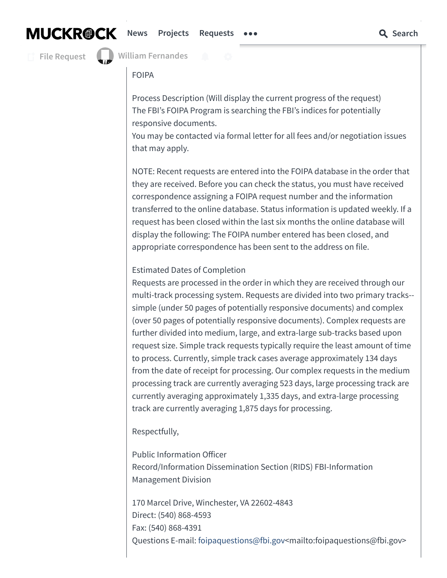# **MUCKR@CK**

## **[News](https://www.muckrock.com/news/) [Projects](https://www.muckrock.com/project/) [Requests](https://www.muckrock.com/foi/) Search**

**File [Request](https://www.muckrock.com/foi/create/)**

Case Type: **William [Fernandes](https://www.muckrock.com/accounts/profile/)**

## FOIPA

Process Description (Will display the current progress of the request) The FBI's FOIPA Program is searching the FBI's indices for potentially responsive documents.

You may be contacted via formal letter for all fees and/or negotiation issues that may apply.

NOTE: Recent requests are entered into the FOIPA database in the order that they are received. Before you can check the status, you must have received correspondence assigning a FOIPA request number and the information transferred to the online database. Status information is updated weekly. If a request has been closed within the last six months the online database will display the following: The FOIPA number entered has been closed, and appropriate correspondence has been sent to the address on file.

## Estimated Dates of Completion

Requests are processed in the order in which they are received through our multi-track processing system. Requests are divided into two primary tracks- simple (under 50 pages of potentially responsive documents) and complex (over 50 pages of potentially responsive documents). Complex requests are further divided into medium, large, and extra-large sub-tracks based upon request size. Simple track requests typically require the least amount of time to process. Currently, simple track cases average approximately 134 days from the date of receipt for processing. Our complex requests in the medium processing track are currently averaging 523 days, large processing track are currently averaging approximately 1,335 days, and extra-large processing track are currently averaging 1,875 days for processing.

## Respectfully,

Public Information Officer Record/Information Dissemination Section (RIDS) FBI-Information Management Division

170 Marcel Drive, Winchester, VA 22602-4843 Direct: (540) 868-4593 Fax: (540) 868-4391 Questions E-mail: [foipaquestions@fbi.gov](mailto:foipaquestions@fbi.gov)<mailto:foipaquestions@fbi.gov>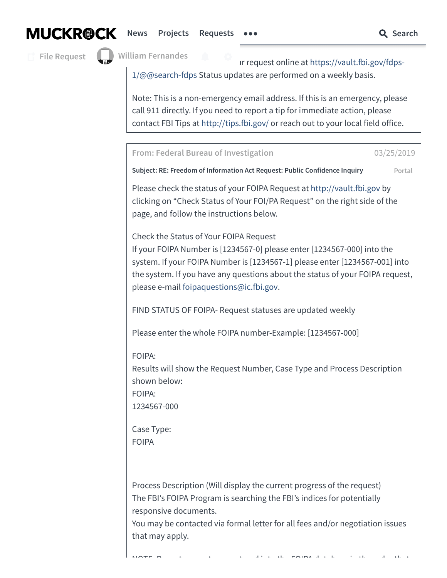

## **[News](https://www.muckrock.com/news/)** Projects [Requests](https://www.muckrock.com/foi/)  $\bullet \bullet \bullet$  **C** Search

**File [Request](https://www.muckrock.com/foi/create/)**

**William [Fernandes](https://www.muckrock.com/accounts/profile/)**

Ir request online at [https://vault.fbi.gov/fdps-](https://vault.fbi.gov/fdps-1/@@search-fdps)1/@@search-fdps Status updates are performed on a weekly basis.

Note: This is a non-emergency email address. If this is an emergency, please call 911 directly. If you need to report a tip for immediate action, please contact FBI Tips at <http://tips.fbi.gov/> or reach out to your local field office.

<span id="page-4-0"></span>**From: Federal Bureau of Investigation** [03/25/2019](#page-4-0)

**Subject: RE: Freedom of Information Act Request: Public Confidence Inquiry Portal**

Please check the status of your FOIPA Request at [http://vault.fbi.gov](http://vault.fbi.gov/) by clicking on "Check Status of Your FOI/PA Request" on the right side of the page, and follow the instructions below.

Check the Status of Your FOIPA Request If your FOIPA Number is [1234567-0] please enter [1234567-000] into the system. If your FOIPA Number is [1234567-1] please enter [1234567-001] into the system. If you have any questions about the status of your FOIPA request, please e-mail [foipaquestions@ic.fbi.gov.](mailto:foipaquestions@ic.fbi.gov)

FIND STATUS OF FOIPA- Request statuses are updated weekly

Please enter the whole FOIPA number-Example: [1234567-000]

FOIPA:

Results will show the Request Number, Case Type and Process Description shown below:

FOIPA:

1234567-000

Case Type: FOIPA

Process Description (Will display the current progress of the request) The FBI's FOIPA Program is searching the FBI's indices for potentially responsive documents.

You may be contacted via formal letter for all fees and/or negotiation issues that may apply.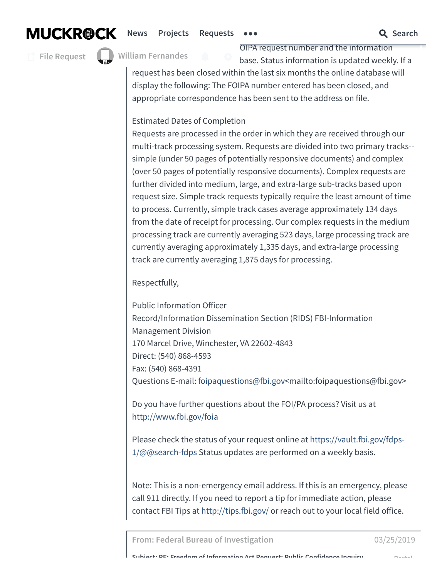$N_{\rm eff}$  recent requests are entered into the  $F$ **[News](https://www.muckrock.com/news/)** [Projects](https://www.muckrock.com/project/) [Requests](https://www.muckrock.com/foi/)  $\bullet \bullet \bullet$  **C** Search

**File [Request](https://www.muckrock.com/foi/create/)**

**William Fernandes**

OIPA request number and the information base. Status information is updated weekly. If a

request has been closed within the last six months the online database will display the following: The FOIPA number entered has been closed, and appropriate correspondence has been sent to the address on file.

Estimated Dates of Completion

Requests are processed in the order in which they are received through our multi-track processing system. Requests are divided into two primary tracks- simple (under 50 pages of potentially responsive documents) and complex (over 50 pages of potentially responsive documents). Complex requests are further divided into medium, large, and extra-large sub-tracks based upon request size. Simple track requests typically require the least amount of time to process. Currently, simple track cases average approximately 134 days from the date of receipt for processing. Our complex requests in the medium processing track are currently averaging 523 days, large processing track are currently averaging approximately 1,335 days, and extra-large processing track are currently averaging 1,875 days for processing.

Respectfully,

Public Information Officer Record/Information Dissemination Section (RIDS) FBI-Information Management Division 170 Marcel Drive, Winchester, VA 22602-4843 Direct: (540) 868-4593 Fax: (540) 868-4391 Questions E-mail: [foipaquestions@fbi.gov](mailto:foipaquestions@fbi.gov)<mailto:foipaquestions@fbi.gov>

Do you have further questions about the FOI/PA process? Visit us at <http://www.fbi.gov/foia>

Please check the status of your request online at [https://vault.fbi.gov/fdps-](https://vault.fbi.gov/fdps-1/@@search-fdps)1/@@search-fdps Status updates are performed on a weekly basis.

Note: This is a non-emergency email address. If this is an emergency, please call 911 directly. If you need to report a tip for immediate action, please contact FBI Tips at <http://tips.fbi.gov/> or reach out to your local field office.

<span id="page-5-0"></span>**From: Federal Bureau of Investigation** [03/25/2019](#page-5-0)

**Subject: RE: Freedom of Information Act Request: Public Confidence Inquiry Portal**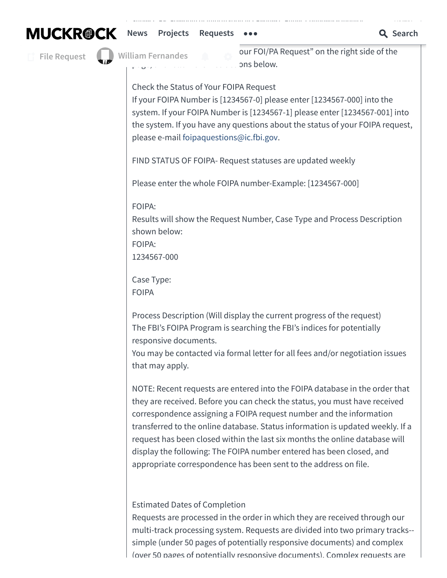

Please check the status of your FOIPA Request at [http://vault.fbi.gov](http://vault.fbi.gov/) by

**File [Request](https://www.muckrock.com/foi/create/)**

**William [Fernandes](https://www.muckrock.com/accounts/profile/)**

our FOI/PA Request" on the right side of the pns below.

Check the Status of Your FOIPA Request

If your FOIPA Number is [1234567-0] please enter [1234567-000] into the system. If your FOIPA Number is [1234567-1] please enter [1234567-001] into the system. If you have any questions about the status of your FOIPA request, please e-mail [foipaquestions@ic.fbi.gov.](mailto:foipaquestions@ic.fbi.gov)

**Subject: RE: Freedom of Information Act Request: Public Confidence Inquiry Portal**

FIND STATUS OF FOIPA- Request statuses are updated weekly

Please enter the whole FOIPA number-Example: [1234567-000]

FOIPA:

Results will show the Request Number, Case Type and Process Description shown below:

FOIPA:

1234567-000

Case Type: FOIPA

Process Description (Will display the current progress of the request) The FBI's FOIPA Program is searching the FBI's indices for potentially responsive documents.

You may be contacted via formal letter for all fees and/or negotiation issues that may apply.

NOTE: Recent requests are entered into the FOIPA database in the order that they are received. Before you can check the status, you must have received correspondence assigning a FOIPA request number and the information transferred to the online database. Status information is updated weekly. If a request has been closed within the last six months the online database will display the following: The FOIPA number entered has been closed, and appropriate correspondence has been sent to the address on file.

# Estimated Dates of Completion

Requests are processed in the order in which they are received through our multi-track processing system. Requests are divided into two primary tracks- simple (under 50 pages of potentially responsive documents) and complex (over 50 pages of potentially responsive documents). Complex requests are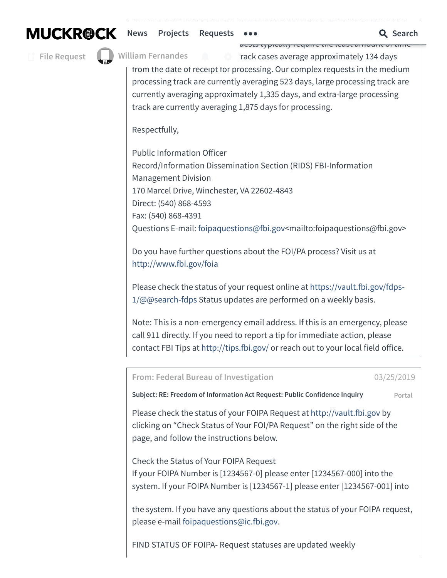**hems** [Projects](https://www.muckrock.com/project/) [Requests](https://www.muckrock.com/foi/) **sectra-large, and extra-large sub-tracks**  $\mathbf{Q}$  **Search** 

**File [Request](https://www.muckrock.com/foi/create/)**

**William [Fernandes](https://www.muckrock.com/accounts/profile/)**

rests typically require the least amount of time  $\bullet$  prack cases average approximately 134 days

from the date of receipt for processing. Our complex requests in the medium processing track are currently averaging 523 days, large processing track are currently averaging approximately 1,335 days, and extra-large processing track are currently averaging 1,875 days for processing.

 $\mathcal{O}(\mathcal{O})$  pages of potentially responsive documents). Complex requests are possible are quite are quite a

Respectfully,

Public Information Officer Record/Information Dissemination Section (RIDS) FBI-Information Management Division 170 Marcel Drive, Winchester, VA 22602-4843 Direct: (540) 868-4593 Fax: (540) 868-4391 Questions E-mail: [foipaquestions@fbi.gov](mailto:foipaquestions@fbi.gov)<mailto:foipaquestions@fbi.gov>

Do you have further questions about the FOI/PA process? Visit us at <http://www.fbi.gov/foia>

Please check the status of your request online at [https://vault.fbi.gov/fdps-](https://vault.fbi.gov/fdps-1/@@search-fdps)1/@@search-fdps Status updates are performed on a weekly basis.

Note: This is a non-emergency email address. If this is an emergency, please call 911 directly. If you need to report a tip for immediate action, please contact FBI Tips at <http://tips.fbi.gov/> or reach out to your local field office.

<span id="page-7-0"></span>**From: Federal Bureau of Investigation** [03/25/2019](#page-7-0)

**Subject: RE: Freedom of Information Act Request: Public Confidence Inquiry Portal**

Please check the status of your FOIPA Request at [http://vault.fbi.gov](http://vault.fbi.gov/) by clicking on "Check Status of Your FOI/PA Request" on the right side of the page, and follow the instructions below.

Check the Status of Your FOIPA Request If your FOIPA Number is [1234567-0] please enter [1234567-000] into the system. If your FOIPA Number is [1234567-1] please enter [1234567-001] into

the system. If you have any questions about the status of your FOIPA request, please e-mail [foipaquestions@ic.fbi.gov.](mailto:foipaquestions@ic.fbi.gov)

FIND STATUS OF FOIPA- Request statuses are updated weekly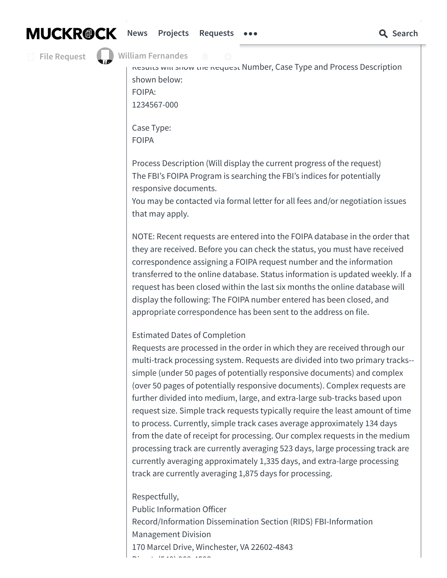**File [Request](https://www.muckrock.com/foi/create/)**

# **William [Fernandes](https://www.muckrock.com/accounts/profile/)**

Its will show [the](https://www.muckrock.com/accounts/notifications/) Request Number, Case Type and Process Description shown below: FOIPA:

1234567-000

Case Type: FOIPA

Process Description (Will display the current progress of the request) The FBI's FOIPA Program is searching the FBI's indices for potentially responsive documents.

You may be contacted via formal letter for all fees and/or negotiation issues that may apply.

NOTE: Recent requests are entered into the FOIPA database in the order that they are received. Before you can check the status, you must have received correspondence assigning a FOIPA request number and the information transferred to the online database. Status information is updated weekly. If a request has been closed within the last six months the online database will display the following: The FOIPA number entered has been closed, and appropriate correspondence has been sent to the address on file.

Estimated Dates of Completion

Requests are processed in the order in which they are received through our multi-track processing system. Requests are divided into two primary tracks- simple (under 50 pages of potentially responsive documents) and complex (over 50 pages of potentially responsive documents). Complex requests are further divided into medium, large, and extra-large sub-tracks based upon request size. Simple track requests typically require the least amount of time to process. Currently, simple track cases average approximately 134 days from the date of receipt for processing. Our complex requests in the medium processing track are currently averaging 523 days, large processing track are currently averaging approximately 1,335 days, and extra-large processing track are currently averaging 1,875 days for processing.

Respectfully,

Public Information Officer Record/Information Dissemination Section (RIDS) FBI-Information Management Division 170 Marcel Drive, Winchester, VA 22602-4843  $D'$   $\vdots$  ( $\vdots$   $\vdots$   $\vdots$   $\vdots$   $\vdots$   $\vdots$   $\vdots$   $\vdots$   $\vdots$   $\vdots$   $\vdots$   $\vdots$   $\vdots$   $\vdots$   $\vdots$   $\vdots$   $\vdots$   $\vdots$   $\vdots$   $\vdots$   $\vdots$   $\vdots$   $\vdots$   $\vdots$   $\vdots$   $\vdots$   $\vdots$   $\vdots$   $\vdots$   $\vdots$   $\vdots$   $\vdots$   $\vdots$   $\vdots$   $\vdots$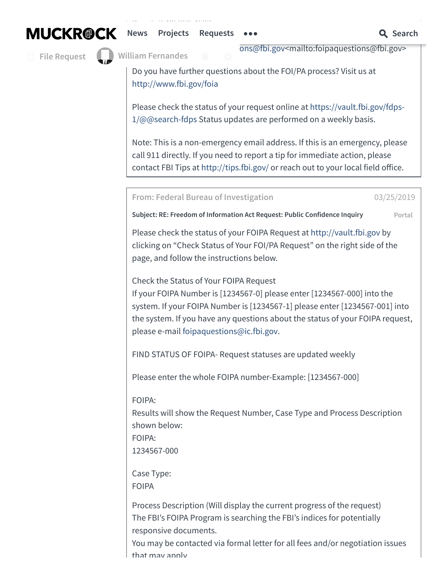**File [Request](https://www.muckrock.com/foi/create/)**



Direct: (540) 868-4593

ons@fbi.gov<mailto:[foipaquestions@fbi.gov](mailto:foipaquestions@fbi.gov)>

Do you have further questions about the FOI/PA process? Visit us at <http://www.fbi.gov/foia>

Please check the status of your request online at [https://vault.fbi.gov/fdps-](https://vault.fbi.gov/fdps-1/@@search-fdps)1/@@search-fdps Status updates are performed on a weekly basis.

Note: This is a non-emergency email address. If this is an emergency, please call 911 directly. If you need to report a tip for immediate action, please contact FBI Tips at <http://tips.fbi.gov/> or reach out to your local field office.

<span id="page-9-0"></span>**From: Federal Bureau of Investigation** [03/25/2019](#page-9-0)

**Subject: RE: Freedom of Information Act Request: Public Confidence Inquiry Portal**

Please check the status of your FOIPA Request at [http://vault.fbi.gov](http://vault.fbi.gov/) by clicking on "Check Status of Your FOI/PA Request" on the right side of the page, and follow the instructions below.

Check the Status of Your FOIPA Request If your FOIPA Number is [1234567-0] please enter [1234567-000] into the system. If your FOIPA Number is [1234567-1] please enter [1234567-001] into the system. If you have any questions about the status of your FOIPA request, please e-mail [foipaquestions@ic.fbi.gov.](mailto:foipaquestions@ic.fbi.gov)

FIND STATUS OF FOIPA- Request statuses are updated weekly

Please enter the whole FOIPA number-Example: [1234567-000]

FOIPA:

Results will show the Request Number, Case Type and Process Description shown below: FOIPA:

1234567-000

Case Type: FOIPA

Process Description (Will display the current progress of the request) The FBI's FOIPA Program is searching the FBI's indices for potentially responsive documents.

You may be contacted via formal letter for all fees and/or negotiation issues that may apply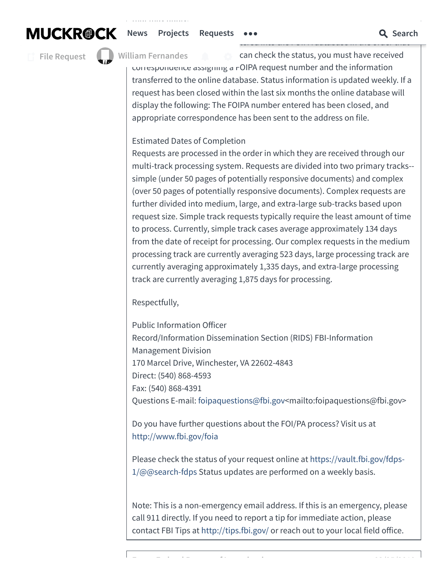# **MUCKROCK** [News](https://www.muckrock.com/news/) [Projects](https://www.muckrock.com/project/) [Requests](https://www.muckrock.com/foi/)  $\cdots$  Q Search

**File [Request](https://www.muckrock.com/foi/create/)**



NOTE: Recent requests are entered into the FOIPA database in the order that

that may apply.

 $\epsilon$  can check the status, you must have received correspondence assigning a FOIPA request number and the information transferred to the online database. Status information is updated weekly. If a request has been closed within the last six months the online database will display the following: The FOIPA number entered has been closed, and appropriate correspondence has been sent to the address on file. **William [Fernandes](https://www.muckrock.com/accounts/profile/)**

# Estimated Dates of Completion

Requests are processed in the order in which they are received through our multi-track processing system. Requests are divided into two primary tracks- simple (under 50 pages of potentially responsive documents) and complex (over 50 pages of potentially responsive documents). Complex requests are further divided into medium, large, and extra-large sub-tracks based upon request size. Simple track requests typically require the least amount of time to process. Currently, simple track cases average approximately 134 days from the date of receipt for processing. Our complex requests in the medium processing track are currently averaging 523 days, large processing track are currently averaging approximately 1,335 days, and extra-large processing track are currently averaging 1,875 days for processing.

Respectfully,

Public Information Officer Record/Information Dissemination Section (RIDS) FBI-Information Management Division 170 Marcel Drive, Winchester, VA 22602-4843 Direct: (540) 868-4593 Fax: (540) 868-4391 Questions E-mail: [foipaquestions@fbi.gov](mailto:foipaquestions@fbi.gov)<mailto:foipaquestions@fbi.gov>

Do you have further questions about the FOI/PA process? Visit us at <http://www.fbi.gov/foia>

Please check the status of your request online at [https://vault.fbi.gov/fdps-](https://vault.fbi.gov/fdps-1/@@search-fdps)1/@@search-fdps Status updates are performed on a weekly basis.

Note: This is a non-emergency email address. If this is an emergency, please call 911 directly. If you need to report a tip for immediate action, please contact FBI Tips at <http://tips.fbi.gov/> or reach out to your local field office.

<span id="page-10-0"></span>**F F d l B f I i i** [03/25/2019](#page-10-0)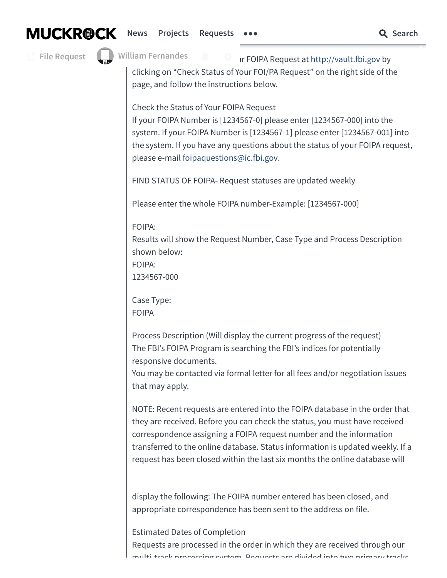**MUCKROCK** [News](https://www.muckrock.com/news/) [Projects](https://www.muckrock.com/project/) [Requests](https://www.muckrock.com/foi/)  $\cdots$  Q Search

**From: Federal Bureau of Investigation** [03/25/2019](#page-10-0) **Subject: RE: Freedom of Information Act Request: Public Confidence Inquiry Portal**

**File [Request](https://www.muckrock.com/foi/create/)**

**William [Fernandes](https://www.muckrock.com/accounts/profile/)**

Ir FOIPA Request at [http://vault.fbi.gov](http://vault.fbi.gov/) by

clicking on "Check Status of Your FOI/PA Request" on the right side of the page, and follow the instructions below.

Check the Status of Your FOIPA Request

If your FOIPA Number is [1234567-0] please enter [1234567-000] into the system. If your FOIPA Number is [1234567-1] please enter [1234567-001] into the system. If you have any questions about the status of your FOIPA request, please e-mail [foipaquestions@ic.fbi.gov.](mailto:foipaquestions@ic.fbi.gov)

FIND STATUS OF FOIPA- Request statuses are updated weekly

Please enter the whole FOIPA number-Example: [1234567-000]

FOIPA:

Results will show the Request Number, Case Type and Process Description shown below:

FOIPA:

1234567-000

Case Type: FOIPA

Process Description (Will display the current progress of the request) The FBI's FOIPA Program is searching the FBI's indices for potentially responsive documents.

You may be contacted via formal letter for all fees and/or negotiation issues that may apply.

NOTE: Recent requests are entered into the FOIPA database in the order that they are received. Before you can check the status, you must have received correspondence assigning a FOIPA request number and the information transferred to the online database. Status information is updated weekly. If a request has been closed within the last six months the online database will

display the following: The FOIPA number entered has been closed, and appropriate correspondence has been sent to the address on file.

Estimated Dates of Completion Requests are processed in the order in which they are received through our multi track processing system. Dequests are divided into two primary t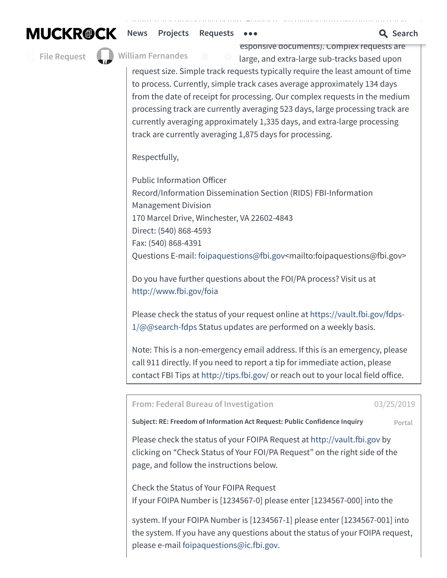**[News](https://www.muckrock.com/news/)** [Projects](https://www.muckrock.com/project/) [Requests](https://www.muckrock.com/foi/)  $\bullet \bullet \bullet$  **C** Search

**File [Request](https://www.muckrock.com/foi/create/)**

**William [Fernandes](https://www.muckrock.com/accounts/profile/)**

esponsive documents). Complex requests are large, and extra-large sub-tracks based upon

request size. Simple track requests typically require the least amount of time to process. Currently, simple track cases average approximately 134 days from the date of receipt for processing. Our complex requests in the medium processing track are currently averaging 523 days, large processing track are currently averaging approximately 1,335 days, and extra-large processing track are currently averaging 1,875 days for processing.

multi-track processing system. Requests are divided into two primary tracks--

Respectfully,

Public Information Officer Record/Information Dissemination Section (RIDS) FBI-Information Management Division 170 Marcel Drive, Winchester, VA 22602-4843 Direct: (540) 868-4593 Fax: (540) 868-4391 Questions E-mail: [foipaquestions@fbi.gov](mailto:foipaquestions@fbi.gov)<mailto:foipaquestions@fbi.gov>

Do you have further questions about the FOI/PA process? Visit us at <http://www.fbi.gov/foia>

Please check the status of your request online at [https://vault.fbi.gov/fdps-](https://vault.fbi.gov/fdps-1/@@search-fdps)1/@@search-fdps Status updates are performed on a weekly basis.

Note: This is a non-emergency email address. If this is an emergency, please call 911 directly. If you need to report a tip for immediate action, please contact FBI Tips at <http://tips.fbi.gov/> or reach out to your local field office.

<span id="page-12-0"></span>**From: Federal Bureau of Investigation** [03/25/2019](#page-12-0)

**Subject: RE: Freedom of Information Act Request: Public Confidence Inquiry Portal**

Please check the status of your FOIPA Request at [http://vault.fbi.gov](http://vault.fbi.gov/) by clicking on "Check Status of Your FOI/PA Request" on the right side of the page, and follow the instructions below.

Check the Status of Your FOIPA Request If your FOIPA Number is [1234567-0] please enter [1234567-000] into the

system. If your FOIPA Number is [1234567-1] please enter [1234567-001] into the system. If you have any questions about the status of your FOIPA request, please e-mail [foipaquestions@ic.fbi.gov.](mailto:foipaquestions@ic.fbi.gov)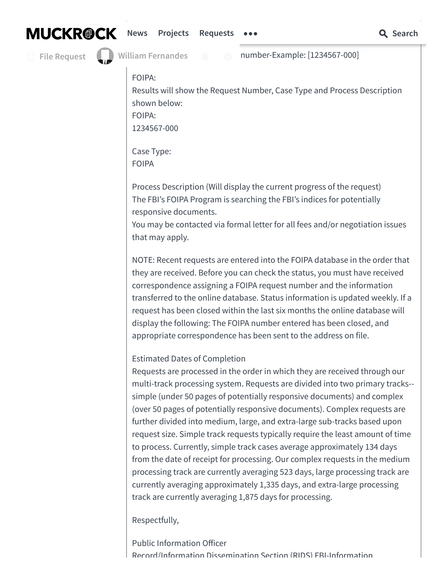# **[News](https://www.muckrock.com/news/)** [Projects](https://www.muckrock.com/project/) [Requests](https://www.muckrock.com/foi/)  $\bullet \bullet \bullet$  **C** Search

**File [Request](https://www.muckrock.com/foi/create/)**

number-Example: [1234567-000]

FOIPA:

Results will show the Request Number, Case Type and Process Description shown below: FOIPA:

1234567-000

Case Type: FOIPA

Process Description (Will display the current progress of the request) The FBI's FOIPA Program is searching the FBI's indices for potentially responsive documents.

You may be contacted via formal letter for all fees and/or negotiation issues that may apply.

NOTE: Recent requests are entered into the FOIPA database in the order that they are received. Before you can check the status, you must have received correspondence assigning a FOIPA request number and the information transferred to the online database. Status information is updated weekly. If a request has been closed within the last six months the online database will display the following: The FOIPA number entered has been closed, and appropriate correspondence has been sent to the address on file.

Estimated Dates of Completion

Requests are processed in the order in which they are received through our multi-track processing system. Requests are divided into two primary tracks- simple (under 50 pages of potentially responsive documents) and complex (over 50 pages of potentially responsive documents). Complex requests are further divided into medium, large, and extra-large sub-tracks based upon request size. Simple track requests typically require the least amount of time to process. Currently, simple track cases average approximately 134 days from the date of receipt for processing. Our complex requests in the medium processing track are currently averaging 523 days, large processing track are currently averaging approximately 1,335 days, and extra-large processing track are currently averaging 1,875 days for processing.

Respectfully,

Public Information Officer Record/Information Dissemination Section (RIDS) FBI-Information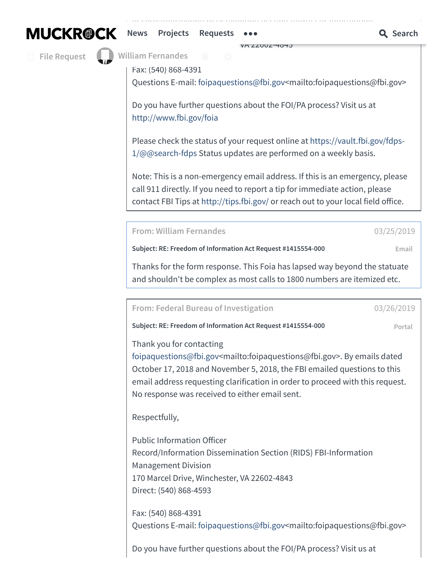**[News](https://www.muckrock.com/news/)** [Projects](https://www.muckrock.com/project/) [Requests](https://www.muckrock.com/foi/)  $\bullet \bullet \bullet$  **C** Search

**File [Request](https://www.muckrock.com/foi/create/)**

**William [Fernandes](https://www.muckrock.com/accounts/profile/)** 

Fax: (540) 868-4391

Questions E-mail: [foipaquestions@fbi.gov](mailto:foipaquestions@fbi.gov)<mailto:foipaquestions@fbi.gov>

170 Marcel Drive, Winchester, VA 22602-4843

Do you have further questions about the FOI/PA process? Visit us at <http://www.fbi.gov/foia>

 $R_{\rm eff}$  is defined by  $R_{\rm eff}$  information  $R_{\rm eff}$  in  $R_{\rm eff}$ 

Please check the status of your request online at [https://vault.fbi.gov/fdps-](https://vault.fbi.gov/fdps-1/@@search-fdps)1/@@search-fdps Status updates are performed on a weekly basis.

Note: This is a non-emergency email address. If this is an emergency, please call 911 directly. If you need to report a tip for immediate action, please contact FBI Tips at <http://tips.fbi.gov/> or reach out to your local field office.

<span id="page-14-0"></span>**From: William Fernandes** [03/25/2019](#page-14-0)

**Subject: RE: Freedom of Information Act Request #1415554-000 Email**

Thanks for the form response. This Foia has lapsed way beyond the statuate and shouldn't be complex as most calls to 1800 numbers are itemized etc.

<span id="page-14-1"></span>**From: Federal Bureau of Investigation** [03/26/2019](#page-14-1)

**Subject: RE: Freedom of Information Act Request #1415554-000 Portal**

Thank you for contacting

[foipaquestions@fbi.gov<](mailto:foipaquestions@fbi.gov)mailto:foipaquestions@fbi.gov>. By emails dated October 17, 2018 and November 5, 2018, the FBI emailed questions to this email address requesting clarification in order to proceed with this request. No response was received to either email sent.

Respectfully,

Public Information Officer Record/Information Dissemination Section (RIDS) FBI-Information Management Division 170 Marcel Drive, Winchester, VA 22602-4843 Direct: (540) 868-4593

Fax: (540) 868-4391 Questions E-mail: [foipaquestions@fbi.gov](mailto:foipaquestions@fbi.gov)<mailto:foipaquestions@fbi.gov>

Do you have further questions about the FOI/PA process? Visit us at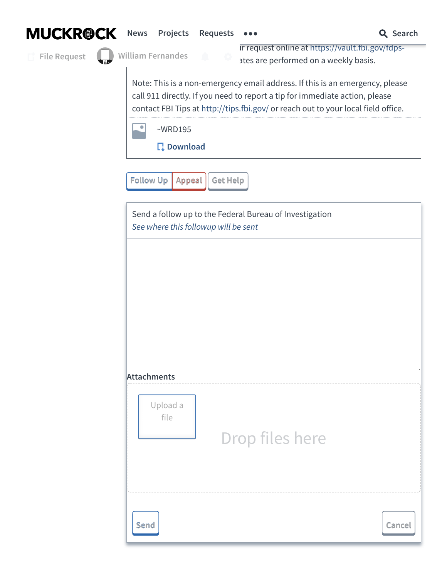



## **[News](https://www.muckrock.com/news/)** Projects [Requests](https://www.muckrock.com/foi/)  $\bullet \bullet \bullet$  **C** Search

**File [Request](https://www.muckrock.com/foi/create/)**

**William Fernandes**

In request online at [https://vault.fbi.gov/fdps-](https://vault.fbi.gov/fdps-1/@@search-fdps) $1/2$  ates are performed on a weekly basis.

Note: This is a non-emergency email address. If this is an emergency, please call 911 directly. If you need to report a tip for immediate action, please contact FBI Tips at <http://tips.fbi.gov/> or reach out to your local field office.



**[Download](https://cdn.muckrock.com/foia_files/2019/03/25/WRD195.jpg)**

**[Follow](#page-15-0)** Up | Appeal || Get Help

<span id="page-15-0"></span>Send a follow up to the Federal Bureau of Investigation See where this followup will be sent

**Attachments**

| Upload a<br>file | Drop files here |        |
|------------------|-----------------|--------|
| <b>Send</b>      |                 | Cancel |